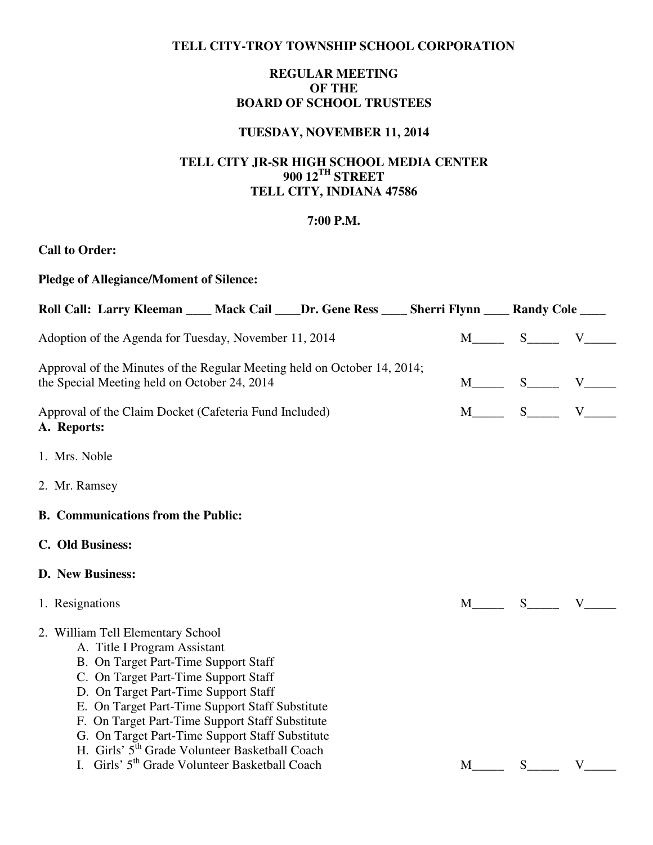### **TELL CITY-TROY TOWNSHIP SCHOOL CORPORATION**

# **REGULAR MEETING OF THE BOARD OF SCHOOL TRUSTEES**

## **TUESDAY, NOVEMBER 11, 2014**

## **TELL CITY JR-SR HIGH SCHOOL MEDIA CENTER 900 12TH STREET TELL CITY, INDIANA 47586**

#### **7:00 P.M.**

# **Call to Order:**

| <b>Pledge of Allegiance/Moment of Silence:</b>                                                                                                                                                                                                                                                                                                                                                                   |  |   |                                    |                                         |
|------------------------------------------------------------------------------------------------------------------------------------------------------------------------------------------------------------------------------------------------------------------------------------------------------------------------------------------------------------------------------------------------------------------|--|---|------------------------------------|-----------------------------------------|
| Roll Call: Larry Kleeman ____ Mack Cail ____Dr. Gene Ress ____ Sherri Flynn ____ Randy Cole ____                                                                                                                                                                                                                                                                                                                 |  |   |                                    |                                         |
| Adoption of the Agenda for Tuesday, November 11, 2014                                                                                                                                                                                                                                                                                                                                                            |  |   | $M$ $S$ $V$ $V$                    |                                         |
| Approval of the Minutes of the Regular Meeting held on October 14, 2014;<br>the Special Meeting held on October 24, 2014                                                                                                                                                                                                                                                                                         |  |   | $M$ <sub>_____</sub> S_____ V_____ |                                         |
| Approval of the Claim Docket (Cafeteria Fund Included)<br>A. Reports:                                                                                                                                                                                                                                                                                                                                            |  |   | $M$ <sub>_____</sub> S_____ V_____ |                                         |
| 1. Mrs. Noble                                                                                                                                                                                                                                                                                                                                                                                                    |  |   |                                    |                                         |
| 2. Mr. Ramsey                                                                                                                                                                                                                                                                                                                                                                                                    |  |   |                                    |                                         |
| <b>B.</b> Communications from the Public:                                                                                                                                                                                                                                                                                                                                                                        |  |   |                                    |                                         |
| C. Old Business:                                                                                                                                                                                                                                                                                                                                                                                                 |  |   |                                    |                                         |
| <b>D.</b> New Business:                                                                                                                                                                                                                                                                                                                                                                                          |  |   |                                    |                                         |
| 1. Resignations                                                                                                                                                                                                                                                                                                                                                                                                  |  |   |                                    | $M$ $S$ $V$                             |
| 2. William Tell Elementary School<br>A. Title I Program Assistant<br>B. On Target Part-Time Support Staff<br>C. On Target Part-Time Support Staff<br>D. On Target Part-Time Support Staff<br>E. On Target Part-Time Support Staff Substitute<br>F. On Target Part-Time Support Staff Substitute<br>G. On Target Part-Time Support Staff Substitute<br>H. Girls' 5 <sup>th</sup> Grade Volunteer Basketball Coach |  |   |                                    |                                         |
| I. Girls' 5 <sup>th</sup> Grade Volunteer Basketball Coach                                                                                                                                                                                                                                                                                                                                                       |  | M |                                    | $S$ <sub>____</sub> $V$ <sub>____</sub> |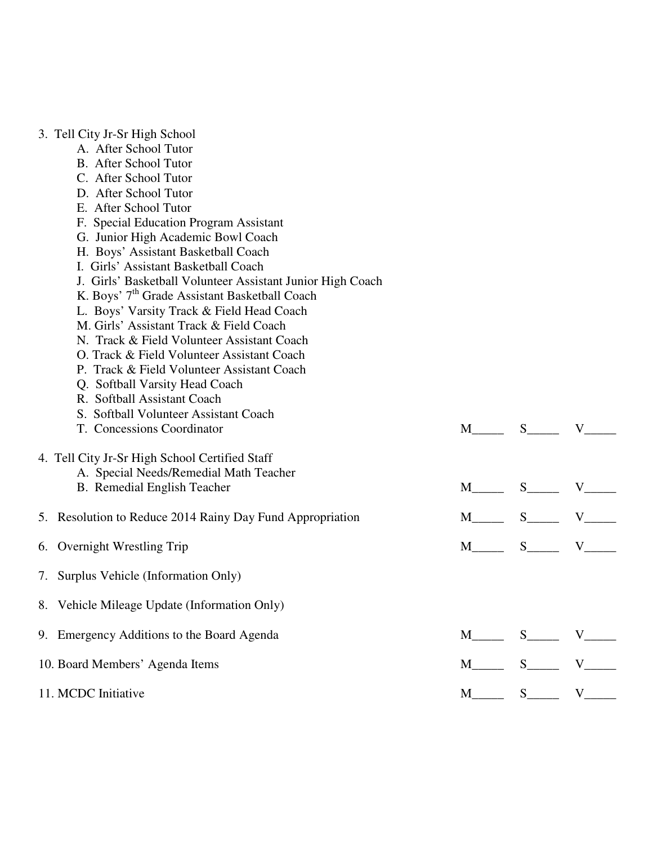|  |  | 3. Tell City Jr-Sr High School |
|--|--|--------------------------------|
|  |  |                                |

- A. After School Tutor
- B. After School Tutor
- C. After School Tutor
- D. After School Tutor
- E. After School Tutor
- F. Special Education Program Assistant
- G. Junior High Academic Bowl Coach
- H. Boys' Assistant Basketball Coach
- I. Girls' Assistant Basketball Coach
- J. Girls' Basketball Volunteer Assistant Junior High Coach
- K. Boys' $7^{\rm th}$  Grade Assistant Basketball Coach
- L. Boys' Varsity Track & Field Head Coach
- M. Girls' Assistant Track & Field Coach
- N. Track & Field Volunteer Assistant Coach
- O. Track & Field Volunteer Assistant Coach
- P. Track & Field Volunteer Assistant Coach
- Q. Softball Varsity Head Coach
- R. Softball Assistant Coach
- S. Softball Volunteer Assistant Coach
- T. Concessions Coordinator M<sub>N</sub> S<sub>N</sub> V

### 4. Tell City Jr-Sr High School Certified Staff

- A. Special Needs/Remedial Math Teacher
- B. Remedial English Teacher M\_\_\_\_\_ S\_\_\_\_ V\_\_\_\_

| 5. Resolution to Reduce 2014 Rainy Day Fund Appropriation<br>M S V |  |
|--------------------------------------------------------------------|--|
|--------------------------------------------------------------------|--|

- 6. Overnight Wrestling Trip  $M_{\text{max}}$  S<sub>\_\_\_\_</sub> V\_\_\_\_
- 7. Surplus Vehicle (Information Only)
- 8. Vehicle Mileage Update (Information Only)
- 9. Emergency Additions to the Board Agenda M\_\_\_\_\_ S\_\_\_\_\_ V\_\_\_\_
- 10. Board Members' Agenda Items  $M_{\text{max}}$  S<sub>\_\_\_\_\_</sub> V\_\_\_\_ 11. MCDC Initiative M\_\_\_\_ S\_\_\_\_ V\_\_\_\_ M\_\_\_\_\_ S\_\_\_\_ V\_\_\_\_ V\_\_\_\_ V\_\_\_\_ V\_\_\_\_ V\_\_\_\_ V\_\_\_\_ V\_\_\_\_ V\_\_\_\_ V\_\_\_\_ V\_\_\_\_ V\_\_\_\_ V\_\_\_\_ V\_\_\_\_ V\_\_\_\_ V\_\_\_\_ V\_\_\_\_ V\_\_\_\_ V\_\_\_\_ V\_\_\_\_ V\_\_\_\_ V\_\_\_\_ V\_\_\_\_ V\_\_\_ V\_\_\_ V\_\_\_ V\_\_\_ V\_\_\_ V\_\_\_ V\_\_\_ V\_\_\_